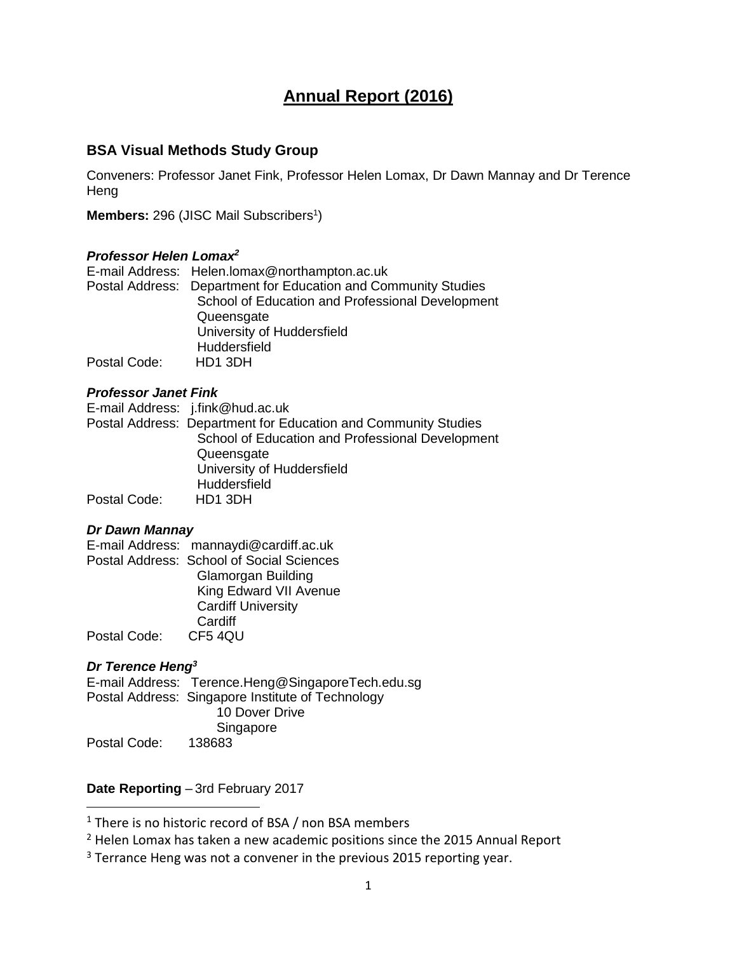# **Annual Report (2016)**

# **BSA Visual Methods Study Group**

Conveners: Professor Janet Fink, Professor Helen Lomax, Dr Dawn Mannay and Dr Terence **Heng** 

Members: 296 (JISC Mail Subscribers<sup>1</sup>)

# *Professor Helen Lomax<sup>2</sup>*

|              | E-mail Address: Helen.lomax@northampton.ac.uk                  |
|--------------|----------------------------------------------------------------|
|              | Postal Address: Department for Education and Community Studies |
|              | School of Education and Professional Development               |
|              | Queensgate                                                     |
|              | University of Huddersfield                                     |
|              | Huddersfield                                                   |
| Postal Code: | HD1 3DH                                                        |

# *Professor Janet Fink*

|              | E-mail Address: j.fink@hud.ac.uk                               |
|--------------|----------------------------------------------------------------|
|              | Postal Address: Department for Education and Community Studies |
|              | School of Education and Professional Development               |
|              | Queensgate                                                     |
|              | University of Huddersfield                                     |
|              | Huddersfield                                                   |
| Postal Code: | HD1 3DH                                                        |

# *Dr Dawn Mannay*

E-mail Address: mannaydi@cardiff.ac.uk Postal Address: School of Social Sciences Glamorgan Building King Edward VII Avenue Cardiff University **Cardiff** Postal Code: CF5 4QU

# *Dr Terence Heng<sup>3</sup>*

 $\overline{a}$ 

E-mail Address: Terence.Heng@SingaporeTech.edu.sg Postal Address: Singapore Institute of Technology 10 Dover Drive Singapore Postal Code: 138683

# **Date Reporting** – 3rd February 2017

 $1$  There is no historic record of BSA / non BSA members

<sup>&</sup>lt;sup>2</sup> Helen Lomax has taken a new academic positions since the 2015 Annual Report

 $3$  Terrance Heng was not a convener in the previous 2015 reporting year.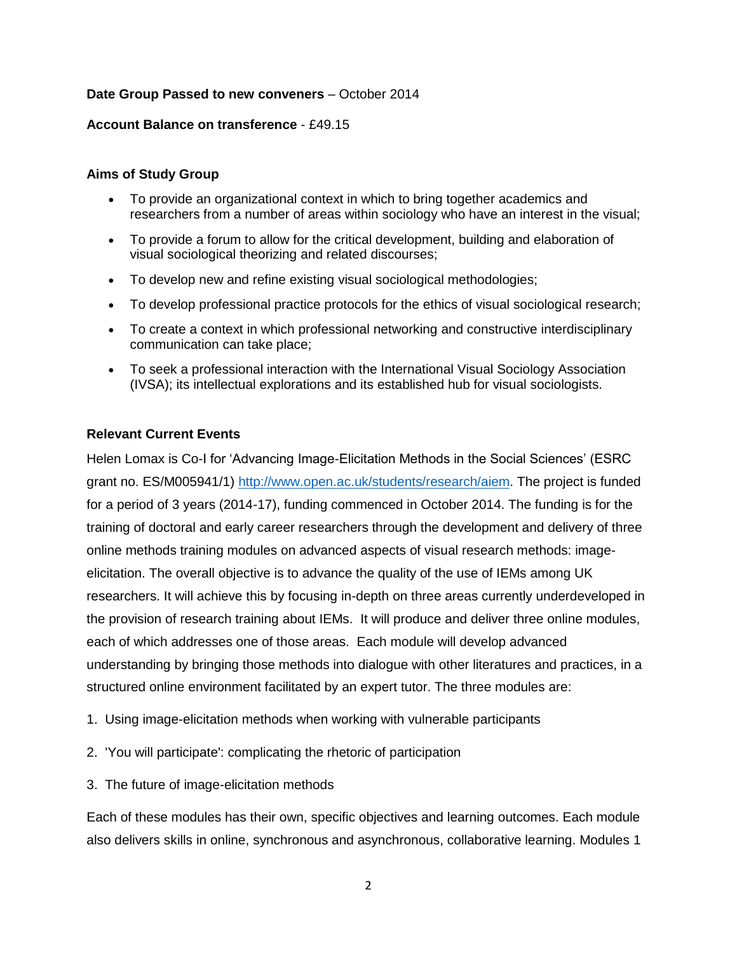# **Date Group Passed to new conveners** – October 2014

### **Account Balance on transference** - £49.15

### **Aims of Study Group**

- To provide an organizational context in which to bring together academics and researchers from a number of areas within sociology who have an interest in the visual;
- To provide a forum to allow for the critical development, building and elaboration of visual sociological theorizing and related discourses;
- To develop new and refine existing visual sociological methodologies;
- To develop professional practice protocols for the ethics of visual sociological research;
- To create a context in which professional networking and constructive interdisciplinary communication can take place;
- To seek a professional interaction with the International Visual Sociology Association (IVSA); its intellectual explorations and its established hub for visual sociologists.

# **Relevant Current Events**

Helen Lomax is Co-I for 'Advancing Image-Elicitation Methods in the Social Sciences' (ESRC grant no. ES/M005941/1) [http://www.open.ac.uk/students/research/aiem.](http://www.open.ac.uk/students/research/aiem) The project is funded for a period of 3 years (2014-17), funding commenced in October 2014. The funding is for the training of doctoral and early career researchers through the development and delivery of three online methods training modules on advanced aspects of visual research methods: imageelicitation. The overall objective is to advance the quality of the use of IEMs among UK researchers. It will achieve this by focusing in-depth on three areas currently underdeveloped in the provision of research training about IEMs. It will produce and deliver three online modules, each of which addresses one of those areas. Each module will develop advanced understanding by bringing those methods into dialogue with other literatures and practices, in a structured online environment facilitated by an expert tutor. The three modules are:

- 1. Using image-elicitation methods when working with vulnerable participants
- 2. 'You will participate': complicating the rhetoric of participation
- 3. The future of image-elicitation methods

Each of these modules has their own, specific objectives and learning outcomes. Each module also delivers skills in online, synchronous and asynchronous, collaborative learning. Modules 1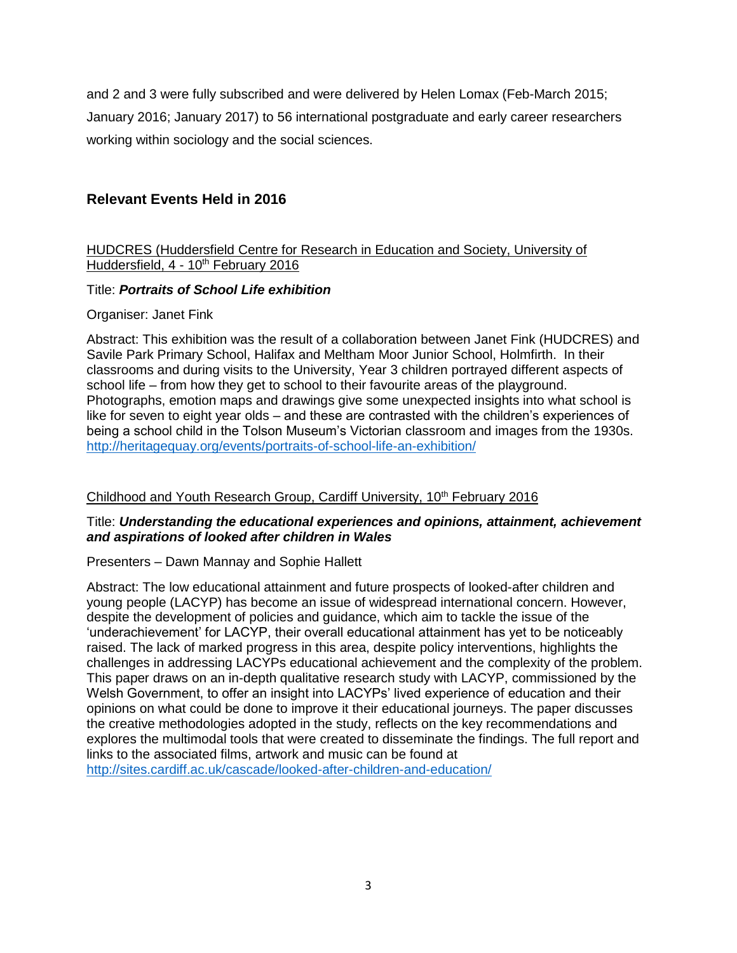and 2 and 3 were fully subscribed and were delivered by Helen Lomax (Feb-March 2015; January 2016; January 2017) to 56 international postgraduate and early career researchers working within sociology and the social sciences.

# **Relevant Events Held in 2016**

# HUDCRES (Huddersfield Centre for Research in Education and Society, University of Huddersfield, 4 - 10<sup>th</sup> February 2016

# Title: *Portraits of School Life exhibition*

# Organiser: Janet Fink

Abstract: This exhibition was the result of a collaboration between Janet Fink (HUDCRES) and Savile Park Primary School, Halifax and Meltham Moor Junior School, Holmfirth. In their classrooms and during visits to the University, Year 3 children portrayed different aspects of school life – from how they get to school to their favourite areas of the playground. Photographs, emotion maps and drawings give some unexpected insights into what school is like for seven to eight year olds – and these are contrasted with the children's experiences of being a school child in the Tolson Museum's Victorian classroom and images from the 1930s. <http://heritagequay.org/events/portraits-of-school-life-an-exhibition/>

# Childhood and Youth Research Group, Cardiff University, 10<sup>th</sup> February 2016

# Title: *Understanding the educational experiences and opinions, attainment, achievement and aspirations of looked after children in Wales*

# Presenters – Dawn Mannay and Sophie Hallett

Abstract: The low educational attainment and future prospects of looked-after children and young people (LACYP) has become an issue of widespread international concern. However, despite the development of policies and guidance, which aim to tackle the issue of the 'underachievement' for LACYP, their overall educational attainment has yet to be noticeably raised. The lack of marked progress in this area, despite policy interventions, highlights the challenges in addressing LACYPs educational achievement and the complexity of the problem. This paper draws on an in-depth qualitative research study with LACYP, commissioned by the Welsh Government, to offer an insight into LACYPs' lived experience of education and their opinions on what could be done to improve it their educational journeys. The paper discusses the creative methodologies adopted in the study, reflects on the key recommendations and explores the multimodal tools that were created to disseminate the findings. The full report and links to the associated films, artwork and music can be found at

<http://sites.cardiff.ac.uk/cascade/looked-after-children-and-education/>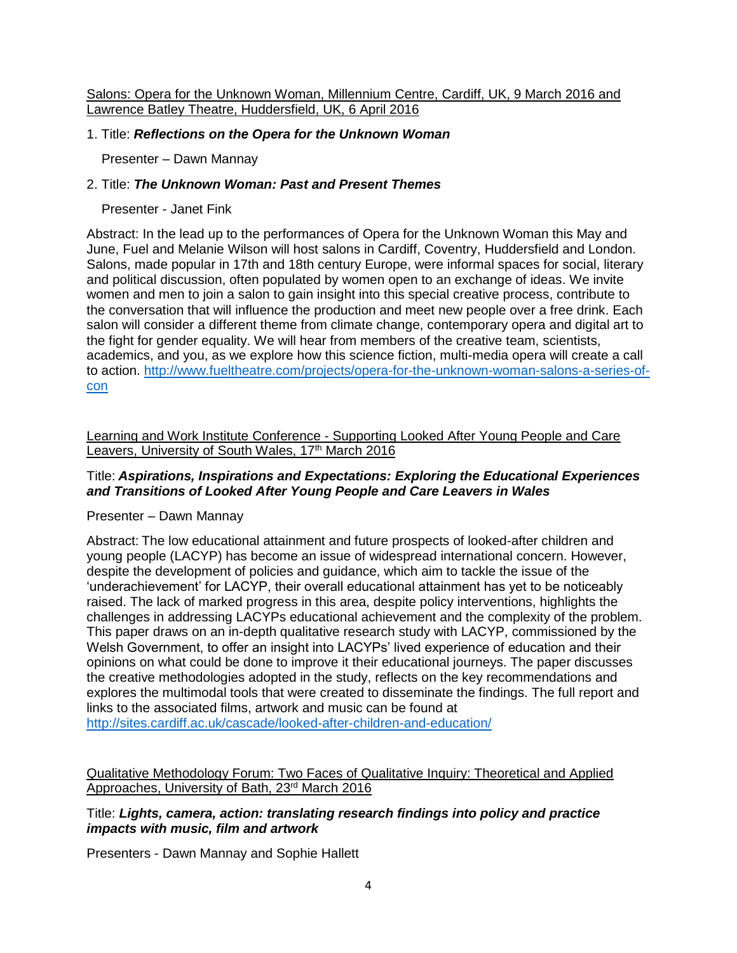Salons: Opera for the Unknown Woman, Millennium Centre, Cardiff, UK, 9 March 2016 and Lawrence Batley Theatre, Huddersfield, UK, 6 April 2016

# 1. Title: *Reflections on the Opera for the Unknown Woman*

Presenter – Dawn Mannay

# 2. Title: *The Unknown Woman: Past and Present Themes*

Presenter - Janet Fink

Abstract: In the lead up to the performances of Opera for the Unknown Woman this May and June, Fuel and Melanie Wilson will host salons in Cardiff, Coventry, Huddersfield and London. Salons, made popular in 17th and 18th century Europe, were informal spaces for social, literary and political discussion, often populated by women open to an exchange of ideas. We invite women and men to join a salon to gain insight into this special creative process, contribute to the conversation that will influence the production and meet new people over a free drink. Each salon will consider a different theme from climate change, contemporary opera and digital art to the fight for gender equality. We will hear from members of the creative team, scientists, academics, and you, as we explore how this science fiction, multi-media opera will create a call to action. [http://www.fueltheatre.com/projects/opera-for-the-unknown-woman-salons-a-series-of](http://www.fueltheatre.com/projects/opera-for-the-unknown-woman-salons-a-series-of-con)[con](http://www.fueltheatre.com/projects/opera-for-the-unknown-woman-salons-a-series-of-con)

Learning and Work Institute Conference - Supporting Looked After Young People and Care Leavers, University of South Wales, 17<sup>th</sup> March 2016

# Title: *Aspirations, Inspirations and Expectations: Exploring the Educational Experiences and Transitions of Looked After Young People and Care Leavers in Wales*

# Presenter – Dawn Mannay

Abstract: The low educational attainment and future prospects of looked-after children and young people (LACYP) has become an issue of widespread international concern. However, despite the development of policies and guidance, which aim to tackle the issue of the 'underachievement' for LACYP, their overall educational attainment has yet to be noticeably raised. The lack of marked progress in this area, despite policy interventions, highlights the challenges in addressing LACYPs educational achievement and the complexity of the problem. This paper draws on an in-depth qualitative research study with LACYP, commissioned by the Welsh Government, to offer an insight into LACYPs' lived experience of education and their opinions on what could be done to improve it their educational journeys. The paper discusses the creative methodologies adopted in the study, reflects on the key recommendations and explores the multimodal tools that were created to disseminate the findings. The full report and links to the associated films, artwork and music can be found at <http://sites.cardiff.ac.uk/cascade/looked-after-children-and-education/>

Qualitative Methodology Forum: Two Faces of Qualitative Inquiry: Theoretical and Applied Approaches, University of Bath, 23<sup>rd</sup> March 2016

Title: *Lights, camera, action: translating research findings into policy and practice impacts with music, film and artwork*

Presenters - Dawn Mannay and Sophie Hallett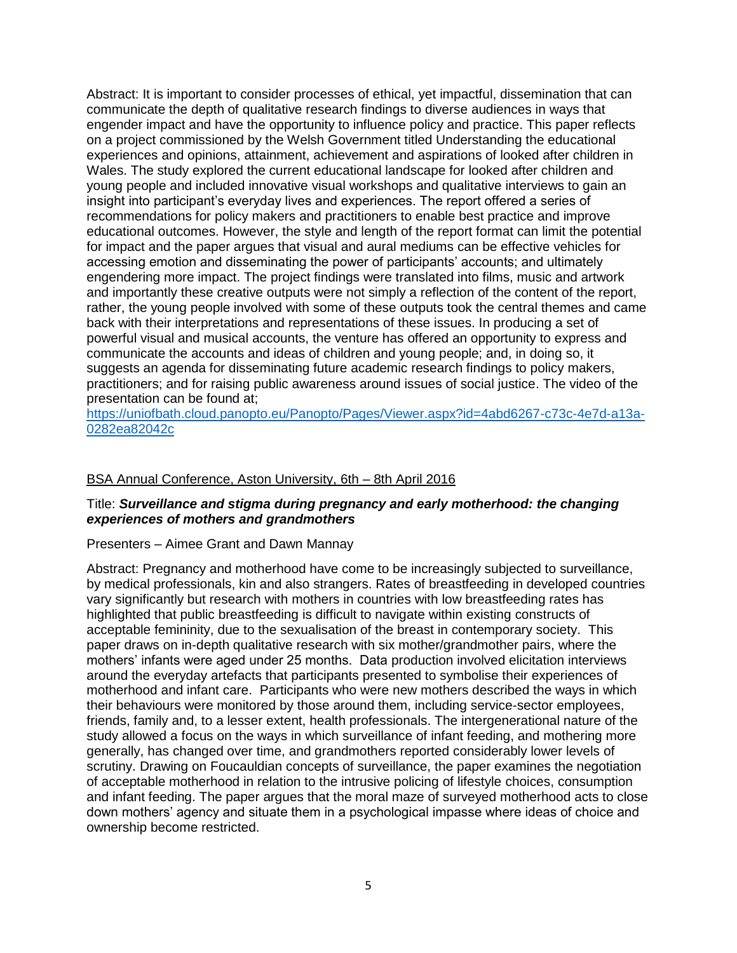Abstract: It is important to consider processes of ethical, yet impactful, dissemination that can communicate the depth of qualitative research findings to diverse audiences in ways that engender impact and have the opportunity to influence policy and practice. This paper reflects on a project commissioned by the Welsh Government titled Understanding the educational experiences and opinions, attainment, achievement and aspirations of looked after children in Wales. The study explored the current educational landscape for looked after children and young people and included innovative visual workshops and qualitative interviews to gain an insight into participant's everyday lives and experiences. The report offered a series of recommendations for policy makers and practitioners to enable best practice and improve educational outcomes. However, the style and length of the report format can limit the potential for impact and the paper argues that visual and aural mediums can be effective vehicles for accessing emotion and disseminating the power of participants' accounts; and ultimately engendering more impact. The project findings were translated into films, music and artwork and importantly these creative outputs were not simply a reflection of the content of the report, rather, the young people involved with some of these outputs took the central themes and came back with their interpretations and representations of these issues. In producing a set of powerful visual and musical accounts, the venture has offered an opportunity to express and communicate the accounts and ideas of children and young people; and, in doing so, it suggests an agenda for disseminating future academic research findings to policy makers, practitioners; and for raising public awareness around issues of social justice. The video of the presentation can be found at;

[https://uniofbath.cloud.panopto.eu/Panopto/Pages/Viewer.aspx?id=4abd6267-c73c-4e7d-a13a-](https://uniofbath.cloud.panopto.eu/Panopto/Pages/Viewer.aspx?id=4abd6267-c73c-4e7d-a13a-0282ea82042c)[0282ea82042c](https://uniofbath.cloud.panopto.eu/Panopto/Pages/Viewer.aspx?id=4abd6267-c73c-4e7d-a13a-0282ea82042c)

#### BSA Annual Conference, Aston University, 6th – 8th April 2016

### Title: *Surveillance and stigma during pregnancy and early motherhood: the changing experiences of mothers and grandmothers*

#### Presenters – Aimee Grant and Dawn Mannay

Abstract: Pregnancy and motherhood have come to be increasingly subjected to surveillance, by medical professionals, kin and also strangers. Rates of breastfeeding in developed countries vary significantly but research with mothers in countries with low breastfeeding rates has highlighted that public breastfeeding is difficult to navigate within existing constructs of acceptable femininity, due to the sexualisation of the breast in contemporary society. This paper draws on in-depth qualitative research with six mother/grandmother pairs, where the mothers' infants were aged under 25 months. Data production involved elicitation interviews around the everyday artefacts that participants presented to symbolise their experiences of motherhood and infant care. Participants who were new mothers described the ways in which their behaviours were monitored by those around them, including service-sector employees, friends, family and, to a lesser extent, health professionals. The intergenerational nature of the study allowed a focus on the ways in which surveillance of infant feeding, and mothering more generally, has changed over time, and grandmothers reported considerably lower levels of scrutiny. Drawing on Foucauldian concepts of surveillance, the paper examines the negotiation of acceptable motherhood in relation to the intrusive policing of lifestyle choices, consumption and infant feeding. The paper argues that the moral maze of surveyed motherhood acts to close down mothers' agency and situate them in a psychological impasse where ideas of choice and ownership become restricted.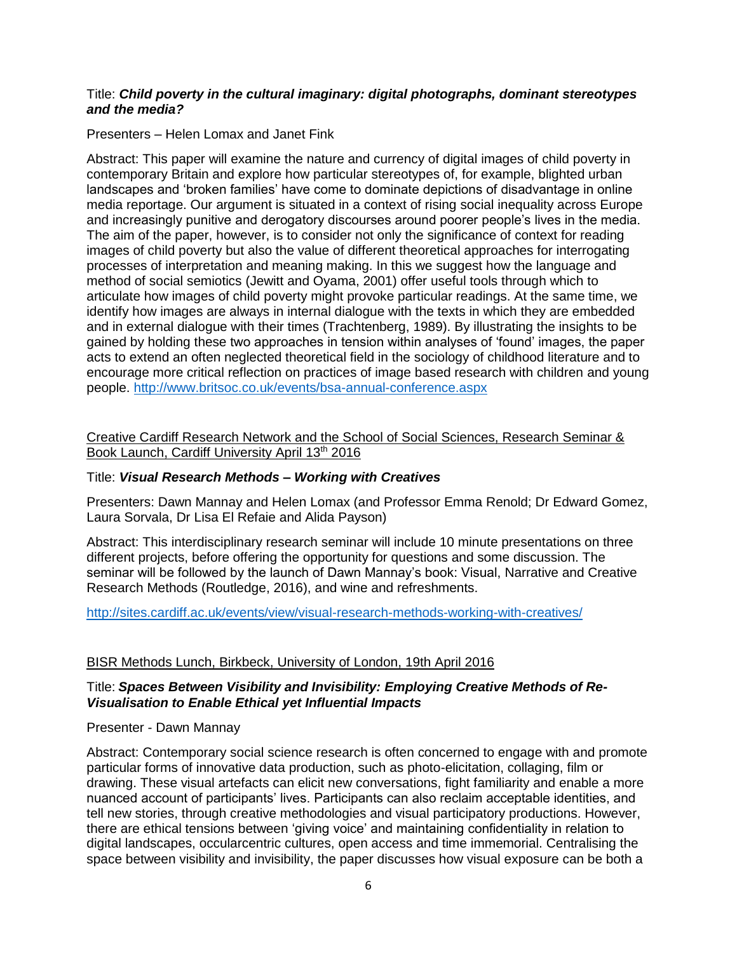### Title: *Child poverty in the cultural imaginary: digital photographs, dominant stereotypes and the media?*

Presenters – Helen Lomax and Janet Fink

Abstract: This paper will examine the nature and currency of digital images of child poverty in contemporary Britain and explore how particular stereotypes of, for example, blighted urban landscapes and 'broken families' have come to dominate depictions of disadvantage in online media reportage. Our argument is situated in a context of rising social inequality across Europe and increasingly punitive and derogatory discourses around poorer people's lives in the media. The aim of the paper, however, is to consider not only the significance of context for reading images of child poverty but also the value of different theoretical approaches for interrogating processes of interpretation and meaning making. In this we suggest how the language and method of social semiotics (Jewitt and Oyama, 2001) offer useful tools through which to articulate how images of child poverty might provoke particular readings. At the same time, we identify how images are always in internal dialogue with the texts in which they are embedded and in external dialogue with their times (Trachtenberg, 1989). By illustrating the insights to be gained by holding these two approaches in tension within analyses of 'found' images, the paper acts to extend an often neglected theoretical field in the sociology of childhood literature and to encourage more critical reflection on practices of image based research with children and young people.<http://www.britsoc.co.uk/events/bsa-annual-conference.aspx>

Creative Cardiff Research Network and the School of Social Sciences, Research Seminar & Book Launch, Cardiff University April 13<sup>th</sup> 2016

### Title: *Visual Research Methods – Working with Creatives*

Presenters: Dawn Mannay and Helen Lomax (and Professor Emma Renold; Dr Edward Gomez, Laura Sorvala, Dr Lisa El Refaie and Alida Payson)

Abstract: This interdisciplinary research seminar will include 10 minute presentations on three different projects, before offering the opportunity for questions and some discussion. The seminar will be followed by the launch of Dawn Mannay's book: Visual, Narrative and Creative Research Methods (Routledge, 2016), and wine and refreshments.

<http://sites.cardiff.ac.uk/events/view/visual-research-methods-working-with-creatives/>

# BISR Methods Lunch, Birkbeck, University of London, 19th April 2016

# Title: *Spaces Between Visibility and Invisibility: Employing Creative Methods of Re-Visualisation to Enable Ethical yet Influential Impacts*

### Presenter - Dawn Mannay

Abstract: Contemporary social science research is often concerned to engage with and promote particular forms of innovative data production, such as photo-elicitation, collaging, film or drawing. These visual artefacts can elicit new conversations, fight familiarity and enable a more nuanced account of participants' lives. Participants can also reclaim acceptable identities, and tell new stories, through creative methodologies and visual participatory productions. However, there are ethical tensions between 'giving voice' and maintaining confidentiality in relation to digital landscapes, occularcentric cultures, open access and time immemorial. Centralising the space between visibility and invisibility, the paper discusses how visual exposure can be both a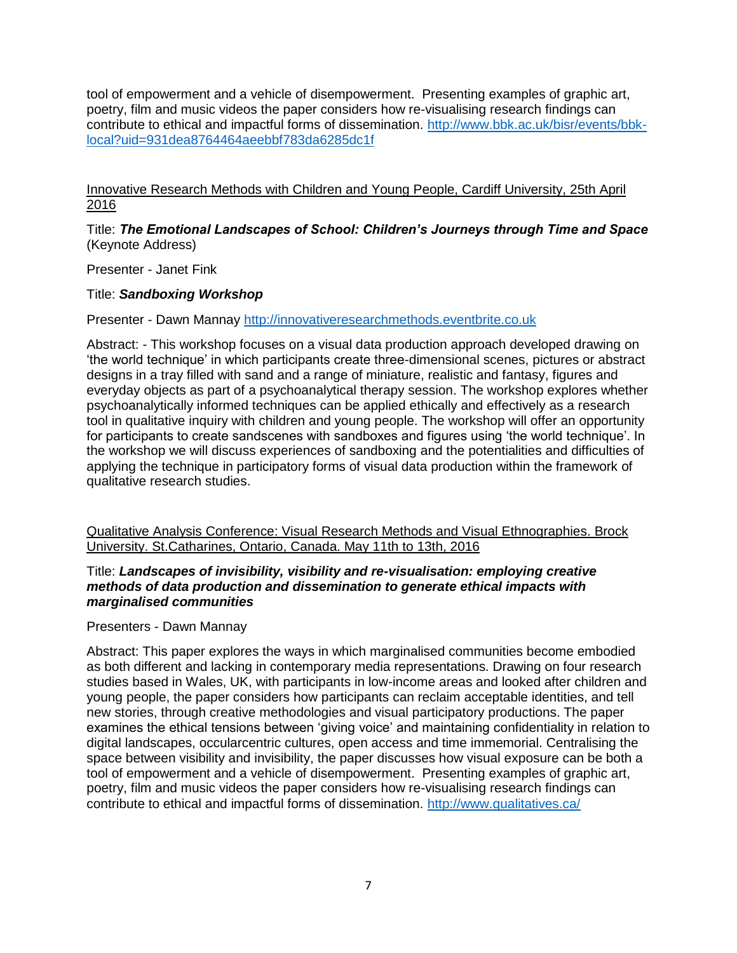tool of empowerment and a vehicle of disempowerment. Presenting examples of graphic art, poetry, film and music videos the paper considers how re-visualising research findings can contribute to ethical and impactful forms of dissemination. [http://www.bbk.ac.uk/bisr/events/bbk](http://www.bbk.ac.uk/bisr/events/bbk-local?uid=931dea8764464aeebbf783da6285dc1f)[local?uid=931dea8764464aeebbf783da6285dc1f](http://www.bbk.ac.uk/bisr/events/bbk-local?uid=931dea8764464aeebbf783da6285dc1f)

# Innovative Research Methods with Children and Young People, Cardiff University, 25th April 2016

# Title: *The Emotional Landscapes of School: Children's Journeys through Time and Space*  (Keynote Address)

Presenter - Janet Fink

# Title: *Sandboxing Workshop*

Presenter - Dawn Mannay [http://innovativeresearchmethods.eventbrite.co.uk](http://innovativeresearchmethods.eventbrite.co.uk/)

Abstract: - This workshop focuses on a visual data production approach developed drawing on 'the world technique' in which participants create three-dimensional scenes, pictures or abstract designs in a tray filled with sand and a range of miniature, realistic and fantasy, figures and everyday objects as part of a psychoanalytical therapy session. The workshop explores whether psychoanalytically informed techniques can be applied ethically and effectively as a research tool in qualitative inquiry with children and young people. The workshop will offer an opportunity for participants to create sandscenes with sandboxes and figures using 'the world technique'. In the workshop we will discuss experiences of sandboxing and the potentialities and difficulties of applying the technique in participatory forms of visual data production within the framework of qualitative research studies.

Qualitative Analysis Conference: Visual Research Methods and Visual Ethnographies. Brock University. St.Catharines, Ontario, Canada. May 11th to 13th, 2016

### Title: *Landscapes of invisibility, visibility and re-visualisation: employing creative methods of data production and dissemination to generate ethical impacts with marginalised communities*

Presenters - Dawn Mannay

Abstract: This paper explores the ways in which marginalised communities become embodied as both different and lacking in contemporary media representations. Drawing on four research studies based in Wales, UK, with participants in low-income areas and looked after children and young people, the paper considers how participants can reclaim acceptable identities, and tell new stories, through creative methodologies and visual participatory productions. The paper examines the ethical tensions between 'giving voice' and maintaining confidentiality in relation to digital landscapes, occularcentric cultures, open access and time immemorial. Centralising the space between visibility and invisibility, the paper discusses how visual exposure can be both a tool of empowerment and a vehicle of disempowerment. Presenting examples of graphic art, poetry, film and music videos the paper considers how re-visualising research findings can contribute to ethical and impactful forms of dissemination. <http://www.qualitatives.ca/>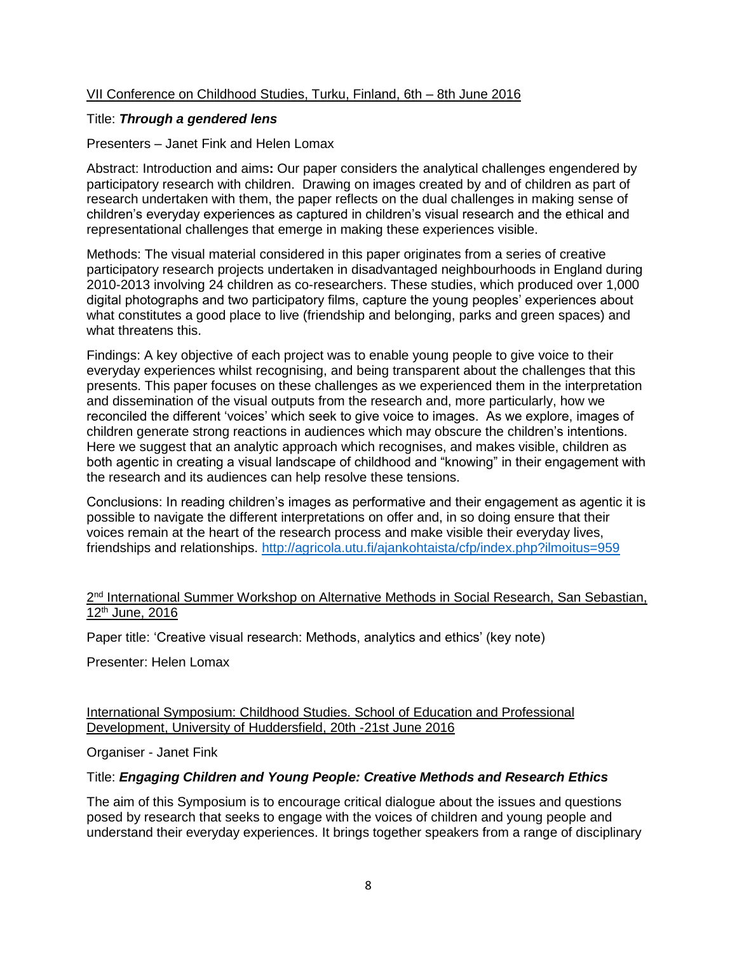# VII Conference on Childhood Studies, Turku, Finland, 6th – 8th June 2016

# Title: *Through a gendered lens*

# Presenters – Janet Fink and Helen Lomax

Abstract: Introduction and aims**:** Our paper considers the analytical challenges engendered by participatory research with children. Drawing on images created by and of children as part of research undertaken with them, the paper reflects on the dual challenges in making sense of children's everyday experiences as captured in children's visual research and the ethical and representational challenges that emerge in making these experiences visible.

Methods: The visual material considered in this paper originates from a series of creative participatory research projects undertaken in disadvantaged neighbourhoods in England during 2010-2013 involving 24 children as co-researchers. These studies, which produced over 1,000 digital photographs and two participatory films, capture the young peoples' experiences about what constitutes a good place to live (friendship and belonging, parks and green spaces) and what threatens this.

Findings: A key objective of each project was to enable young people to give voice to their everyday experiences whilst recognising, and being transparent about the challenges that this presents. This paper focuses on these challenges as we experienced them in the interpretation and dissemination of the visual outputs from the research and, more particularly, how we reconciled the different 'voices' which seek to give voice to images. As we explore, images of children generate strong reactions in audiences which may obscure the children's intentions. Here we suggest that an analytic approach which recognises, and makes visible, children as both agentic in creating a visual landscape of childhood and "knowing" in their engagement with the research and its audiences can help resolve these tensions.

Conclusions: In reading children's images as performative and their engagement as agentic it is possible to navigate the different interpretations on offer and, in so doing ensure that their voices remain at the heart of the research process and make visible their everyday lives, friendships and relationships.<http://agricola.utu.fi/ajankohtaista/cfp/index.php?ilmoitus=959>

# 2<sup>nd</sup> International Summer Workshop on Alternative Methods in Social Research, San Sebastian, 12th June, 2016

Paper title: 'Creative visual research: Methods, analytics and ethics' (key note)

Presenter: Helen Lomax

International Symposium: Childhood Studies. School of Education and Professional Development, University of Huddersfield, 20th -21st June 2016

Organiser - Janet Fink

# Title: *Engaging Children and Young People: Creative Methods and Research Ethics*

The aim of this Symposium is to encourage critical dialogue about the issues and questions posed by research that seeks to engage with the voices of children and young people and understand their everyday experiences. It brings together speakers from a range of disciplinary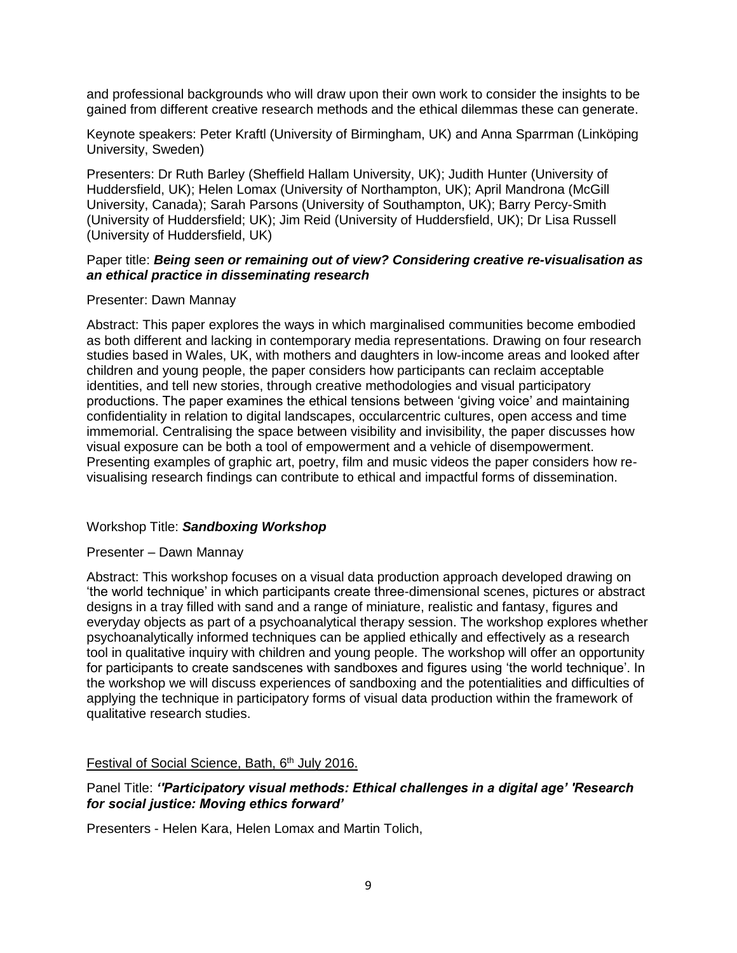and professional backgrounds who will draw upon their own work to consider the insights to be gained from different creative research methods and the ethical dilemmas these can generate.

Keynote speakers: Peter Kraftl (University of Birmingham, UK) and Anna Sparrman (Linköping University, Sweden)

Presenters: Dr Ruth Barley (Sheffield Hallam University, UK); Judith Hunter (University of Huddersfield, UK); Helen Lomax (University of Northampton, UK); April Mandrona (McGill University, Canada); Sarah Parsons (University of Southampton, UK); Barry Percy-Smith (University of Huddersfield; UK); Jim Reid (University of Huddersfield, UK); Dr Lisa Russell (University of Huddersfield, UK)

### Paper title: *Being seen or remaining out of view? Considering creative re-visualisation as an ethical practice in disseminating research*

### Presenter: Dawn Mannay

Abstract: This paper explores the ways in which marginalised communities become embodied as both different and lacking in contemporary media representations. Drawing on four research studies based in Wales, UK, with mothers and daughters in low-income areas and looked after children and young people, the paper considers how participants can reclaim acceptable identities, and tell new stories, through creative methodologies and visual participatory productions. The paper examines the ethical tensions between 'giving voice' and maintaining confidentiality in relation to digital landscapes, occularcentric cultures, open access and time immemorial. Centralising the space between visibility and invisibility, the paper discusses how visual exposure can be both a tool of empowerment and a vehicle of disempowerment. Presenting examples of graphic art, poetry, film and music videos the paper considers how revisualising research findings can contribute to ethical and impactful forms of dissemination.

### Workshop Title: *Sandboxing Workshop*

#### Presenter – Dawn Mannay

Abstract: This workshop focuses on a visual data production approach developed drawing on 'the world technique' in which participants create three-dimensional scenes, pictures or abstract designs in a tray filled with sand and a range of miniature, realistic and fantasy, figures and everyday objects as part of a psychoanalytical therapy session. The workshop explores whether psychoanalytically informed techniques can be applied ethically and effectively as a research tool in qualitative inquiry with children and young people. The workshop will offer an opportunity for participants to create sandscenes with sandboxes and figures using 'the world technique'. In the workshop we will discuss experiences of sandboxing and the potentialities and difficulties of applying the technique in participatory forms of visual data production within the framework of qualitative research studies.

### Festival of Social Science, Bath, 6<sup>th</sup> July 2016.

### Panel Title: *''Participatory visual methods: Ethical challenges in a digital age' 'Research for social justice: Moving ethics forward'*

Presenters - Helen Kara, Helen Lomax and Martin Tolich,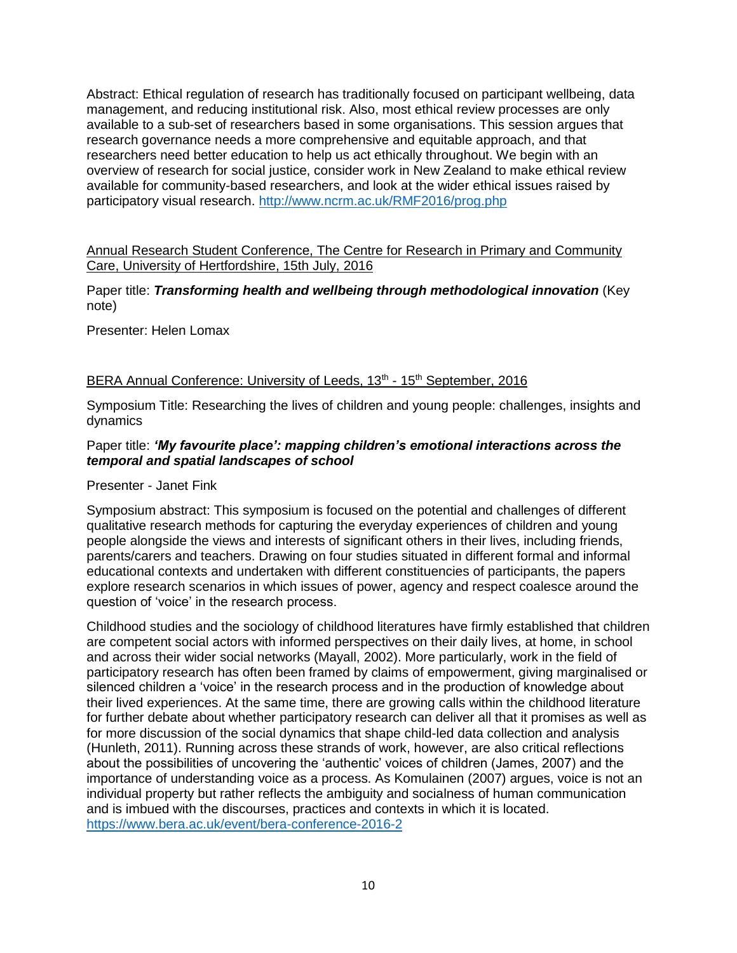Abstract: Ethical regulation of research has traditionally focused on participant wellbeing, data management, and reducing institutional risk. Also, most ethical review processes are only available to a sub-set of researchers based in some organisations. This session argues that research governance needs a more comprehensive and equitable approach, and that researchers need better education to help us act ethically throughout. We begin with an overview of research for social justice, consider work in New Zealand to make ethical review available for community-based researchers, and look at the wider ethical issues raised by participatory visual research.<http://www.ncrm.ac.uk/RMF2016/prog.php>

Annual Research Student Conference, The Centre for Research in Primary and Community Care, University of Hertfordshire, 15th July, 2016

Paper title: *Transforming health and wellbeing through methodological innovation* (Key note)

Presenter: Helen Lomax

# BERA Annual Conference: University of Leeds, 13<sup>th</sup> - 15<sup>th</sup> September, 2016

Symposium Title: Researching the lives of children and young people: challenges, insights and dynamics

# Paper title: *'My favourite place': mapping children's emotional interactions across the temporal and spatial landscapes of school*

Presenter - Janet Fink

Symposium abstract: This symposium is focused on the potential and challenges of different qualitative research methods for capturing the everyday experiences of children and young people alongside the views and interests of significant others in their lives, including friends, parents/carers and teachers. Drawing on four studies situated in different formal and informal educational contexts and undertaken with different constituencies of participants, the papers explore research scenarios in which issues of power, agency and respect coalesce around the question of 'voice' in the research process.

Childhood studies and the sociology of childhood literatures have firmly established that children are competent social actors with informed perspectives on their daily lives, at home, in school and across their wider social networks (Mayall, 2002). More particularly, work in the field of participatory research has often been framed by claims of empowerment, giving marginalised or silenced children a 'voice' in the research process and in the production of knowledge about their lived experiences. At the same time, there are growing calls within the childhood literature for further debate about whether participatory research can deliver all that it promises as well as for more discussion of the social dynamics that shape child-led data collection and analysis (Hunleth, 2011). Running across these strands of work, however, are also critical reflections about the possibilities of uncovering the 'authentic' voices of children (James, 2007) and the importance of understanding voice as a process. As Komulainen (2007) argues, voice is not an individual property but rather reflects the ambiguity and socialness of human communication and is imbued with the discourses, practices and contexts in which it is located. <https://www.bera.ac.uk/event/bera-conference-2016-2>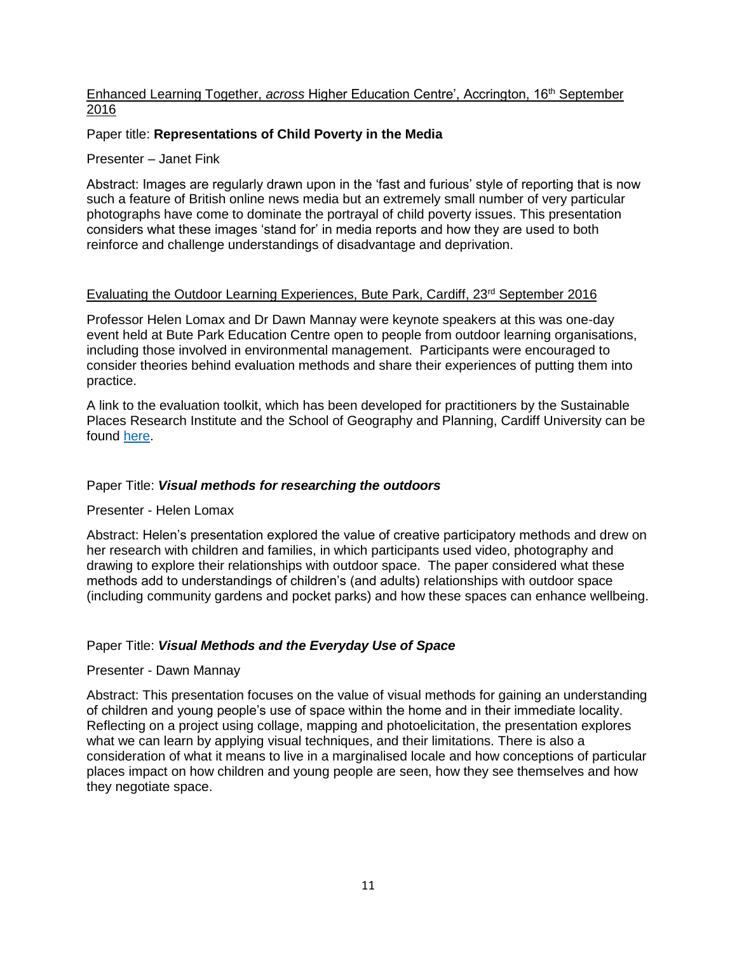# Enhanced Learning Together, *across* Higher Education Centre', Accrington, 16th September 2016

# Paper title: **Representations of Child Poverty in the Media**

Presenter – Janet Fink

Abstract: Images are regularly drawn upon in the 'fast and furious' style of reporting that is now such a feature of British online news media but an extremely small number of very particular photographs have come to dominate the portrayal of child poverty issues. This presentation considers what these images 'stand for' in media reports and how they are used to both reinforce and challenge understandings of disadvantage and deprivation.

### Evaluating the Outdoor Learning Experiences, Bute Park, Cardiff, 23rd September 2016

Professor Helen Lomax and Dr Dawn Mannay were keynote speakers at this was one-day event held at Bute Park Education Centre open to people from outdoor learning organisations, including those involved in environmental management. Participants were encouraged to consider theories behind evaluation methods and share their experiences of putting them into practice.

A link to the evaluation toolkit, which has been developed for practitioners by the Sustainable Places Research Institute and the School of Geography and Planning, Cardiff University can be found [here.](http://bit.ly/2cZM4EO)

### Paper Title: *Visual methods for researching the outdoors*

### Presenter - Helen Lomax

Abstract: Helen's presentation explored the value of creative participatory methods and drew on her research with children and families, in which participants used video, photography and drawing to explore their relationships with outdoor space. The paper considered what these methods add to understandings of children's (and adults) relationships with outdoor space (including community gardens and pocket parks) and how these spaces can enhance wellbeing.

### Paper Title: *Visual Methods and the Everyday Use of Space*

### Presenter - Dawn Mannay

Abstract: This presentation focuses on the value of visual methods for gaining an understanding of children and young people's use of space within the home and in their immediate locality. Reflecting on a project using collage, mapping and photoelicitation, the presentation explores what we can learn by applying visual techniques, and their limitations. There is also a consideration of what it means to live in a marginalised locale and how conceptions of particular places impact on how children and young people are seen, how they see themselves and how they negotiate space.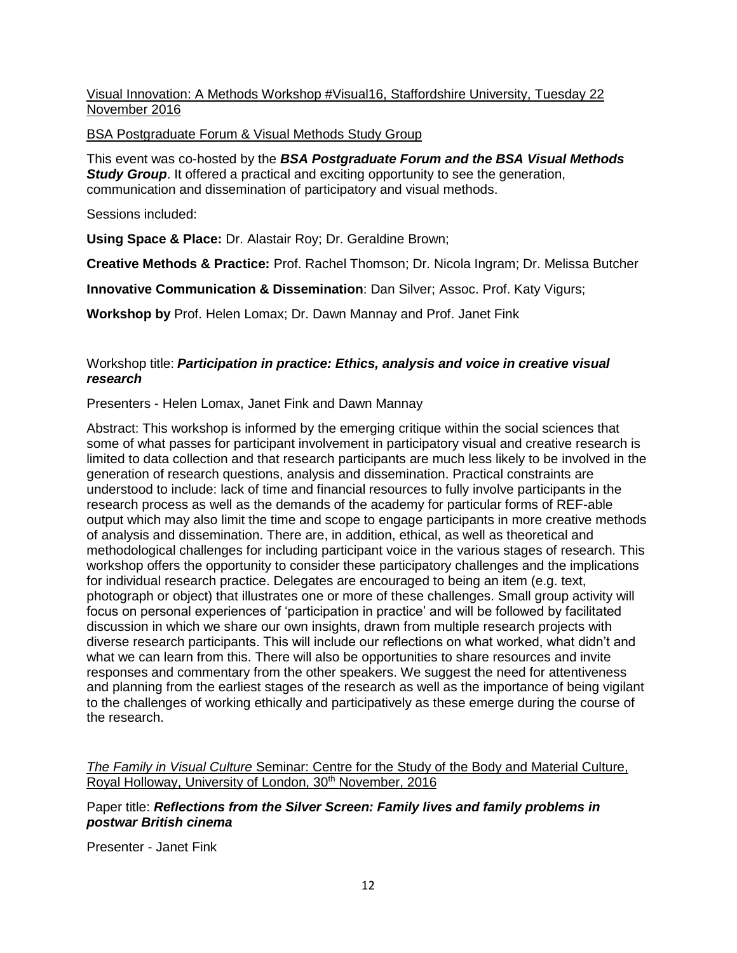# Visual Innovation: A Methods Workshop #Visual16, Staffordshire University, Tuesday 22 November 2016

### BSA Postgraduate Forum & Visual Methods Study Group

This event was co-hosted by the *BSA Postgraduate Forum and the BSA Visual Methods Study Group.* It offered a practical and exciting opportunity to see the generation, communication and dissemination of participatory and visual methods.

Sessions included:

**Using Space & Place:** Dr. Alastair Roy; Dr. Geraldine Brown;

**Creative Methods & Practice:** Prof. Rachel Thomson; Dr. Nicola Ingram; Dr. Melissa Butcher

**Innovative Communication & Dissemination**: Dan Silver; Assoc. Prof. Katy Vigurs;

**Workshop by** Prof. Helen Lomax; Dr. Dawn Mannay and Prof. Janet Fink

# Workshop title: *Participation in practice: Ethics, analysis and voice in creative visual research*

Presenters - Helen Lomax, Janet Fink and Dawn Mannay

Abstract: This workshop is informed by the emerging critique within the social sciences that some of what passes for participant involvement in participatory visual and creative research is limited to data collection and that research participants are much less likely to be involved in the generation of research questions, analysis and dissemination. Practical constraints are understood to include: lack of time and financial resources to fully involve participants in the research process as well as the demands of the academy for particular forms of REF-able output which may also limit the time and scope to engage participants in more creative methods of analysis and dissemination. There are, in addition, ethical, as well as theoretical and methodological challenges for including participant voice in the various stages of research. This workshop offers the opportunity to consider these participatory challenges and the implications for individual research practice. Delegates are encouraged to being an item (e.g. text, photograph or object) that illustrates one or more of these challenges. Small group activity will focus on personal experiences of 'participation in practice' and will be followed by facilitated discussion in which we share our own insights, drawn from multiple research projects with diverse research participants. This will include our reflections on what worked, what didn't and what we can learn from this. There will also be opportunities to share resources and invite responses and commentary from the other speakers. We suggest the need for attentiveness and planning from the earliest stages of the research as well as the importance of being vigilant to the challenges of working ethically and participatively as these emerge during the course of the research.

*The Family in Visual Culture* Seminar: Centre for the Study of the Body and Material Culture, Royal Holloway, University of London, 30<sup>th</sup> November, 2016

# Paper title: *Reflections from the Silver Screen: Family lives and family problems in postwar British cinema*

Presenter - Janet Fink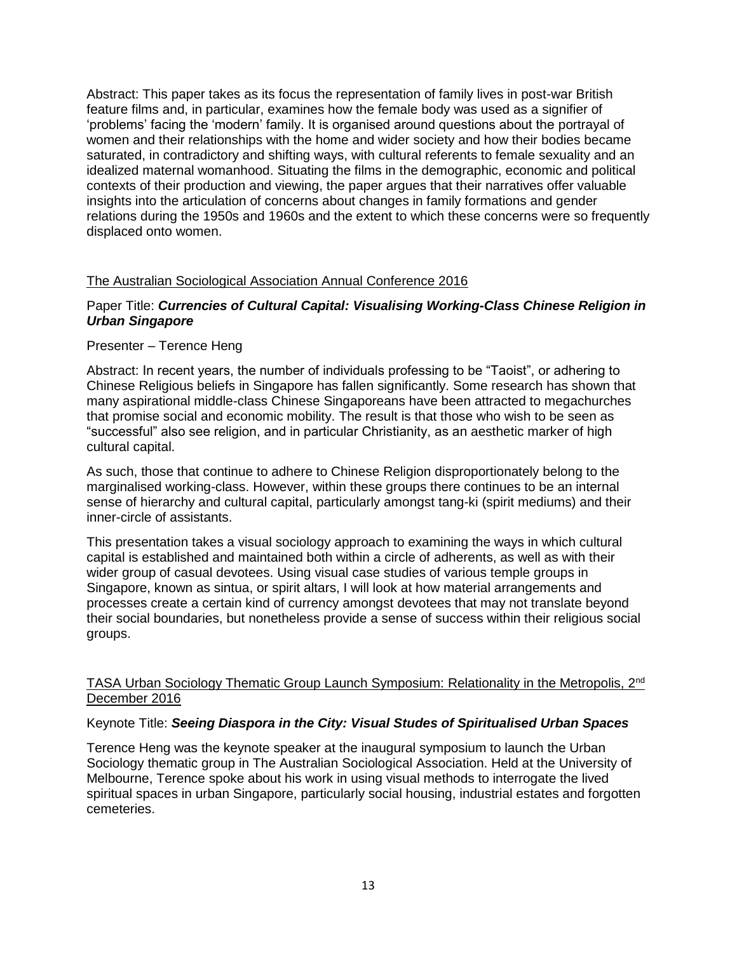Abstract: This paper takes as its focus the representation of family lives in post-war British feature films and, in particular, examines how the female body was used as a signifier of 'problems' facing the 'modern' family. It is organised around questions about the portrayal of women and their relationships with the home and wider society and how their bodies became saturated, in contradictory and shifting ways, with cultural referents to female sexuality and an idealized maternal womanhood. Situating the films in the demographic, economic and political contexts of their production and viewing, the paper argues that their narratives offer valuable insights into the articulation of concerns about changes in family formations and gender relations during the 1950s and 1960s and the extent to which these concerns were so frequently displaced onto women.

# The Australian Sociological Association Annual Conference 2016

# Paper Title: *Currencies of Cultural Capital: Visualising Working-Class Chinese Religion in Urban Singapore*

# Presenter – Terence Heng

Abstract: In recent years, the number of individuals professing to be "Taoist", or adhering to Chinese Religious beliefs in Singapore has fallen significantly. Some research has shown that many aspirational middle-class Chinese Singaporeans have been attracted to megachurches that promise social and economic mobility. The result is that those who wish to be seen as "successful" also see religion, and in particular Christianity, as an aesthetic marker of high cultural capital.

As such, those that continue to adhere to Chinese Religion disproportionately belong to the marginalised working-class. However, within these groups there continues to be an internal sense of hierarchy and cultural capital, particularly amongst tang-ki (spirit mediums) and their inner-circle of assistants.

This presentation takes a visual sociology approach to examining the ways in which cultural capital is established and maintained both within a circle of adherents, as well as with their wider group of casual devotees. Using visual case studies of various temple groups in Singapore, known as sintua, or spirit altars, I will look at how material arrangements and processes create a certain kind of currency amongst devotees that may not translate beyond their social boundaries, but nonetheless provide a sense of success within their religious social groups.

# TASA Urban Sociology Thematic Group Launch Symposium: Relationality in the Metropolis, 2<sup>nd</sup> December 2016

### Keynote Title: *Seeing Diaspora in the City: Visual Studes of Spiritualised Urban Spaces*

Terence Heng was the keynote speaker at the inaugural symposium to launch the Urban Sociology thematic group in The Australian Sociological Association. Held at the University of Melbourne, Terence spoke about his work in using visual methods to interrogate the lived spiritual spaces in urban Singapore, particularly social housing, industrial estates and forgotten cemeteries.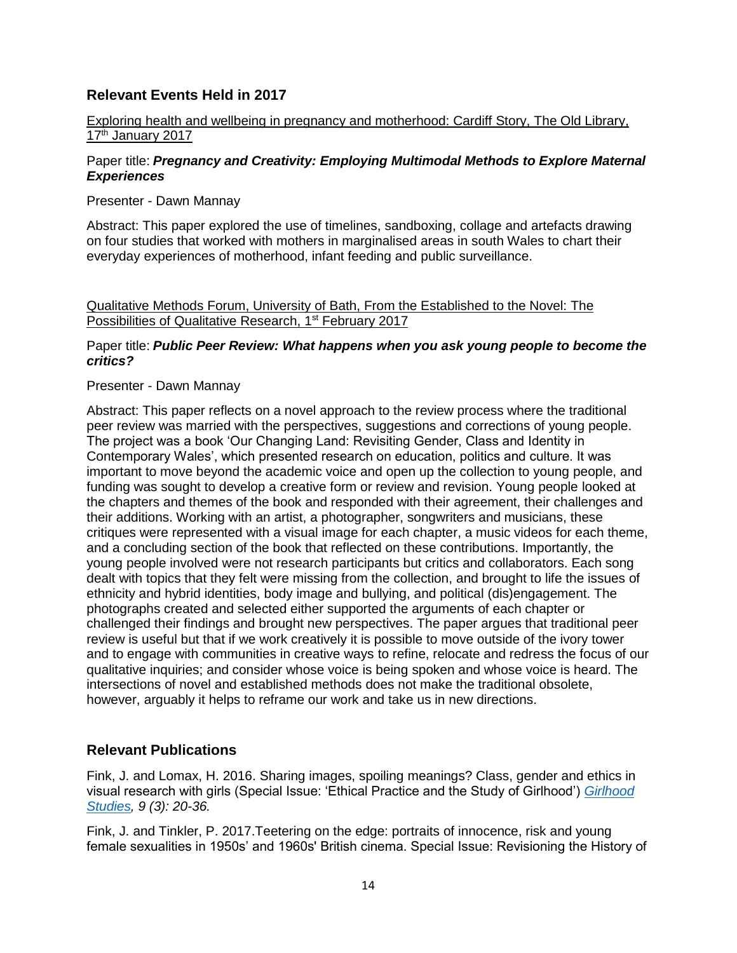# **Relevant Events Held in 2017**

# Exploring health and wellbeing in pregnancy and motherhood: Cardiff Story, The Old Library, 17<sup>th</sup> January 2017

# Paper title: *Pregnancy and Creativity: Employing Multimodal Methods to Explore Maternal Experiences*

Presenter - Dawn Mannay

Abstract: This paper explored the use of timelines, sandboxing, collage and artefacts drawing on four studies that worked with mothers in marginalised areas in south Wales to chart their everyday experiences of motherhood, infant feeding and public surveillance.

Qualitative Methods Forum, University of Bath, From the Established to the Novel: The Possibilities of Qualitative Research, 1<sup>st</sup> February 2017

# Paper title: *Public Peer Review: What happens when you ask young people to become the critics?*

# Presenter - Dawn Mannay

Abstract: This paper reflects on a novel approach to the review process where the traditional peer review was married with the perspectives, suggestions and corrections of young people. The project was a book 'Our Changing Land: Revisiting Gender, Class and Identity in Contemporary Wales', which presented research on education, politics and culture. It was important to move beyond the academic voice and open up the collection to young people, and funding was sought to develop a creative form or review and revision. Young people looked at the chapters and themes of the book and responded with their agreement, their challenges and their additions. Working with an artist, a photographer, songwriters and musicians, these critiques were represented with a visual image for each chapter, a music videos for each theme, and a concluding section of the book that reflected on these contributions. Importantly, the young people involved were not research participants but critics and collaborators. Each song dealt with topics that they felt were missing from the collection, and brought to life the issues of ethnicity and hybrid identities, body image and bullying, and political (dis)engagement. The photographs created and selected either supported the arguments of each chapter or challenged their findings and brought new perspectives. The paper argues that traditional peer review is useful but that if we work creatively it is possible to move outside of the ivory tower and to engage with communities in creative ways to refine, relocate and redress the focus of our qualitative inquiries; and consider whose voice is being spoken and whose voice is heard. The intersections of novel and established methods does not make the traditional obsolete, however, arguably it helps to reframe our work and take us in new directions.

# **Relevant Publications**

Fink, J. and Lomax, H. 2016. Sharing images, spoiling meanings? Class, gender and ethics in visual research with girls (Special Issue: 'Ethical Practice and the Study of Girlhood') *[Girlhood](http://www.berghahnjournals.com/view/journals/girlhood-studies/girlhood-studies-overview.xml)  [Studies,](http://www.berghahnjournals.com/view/journals/girlhood-studies/girlhood-studies-overview.xml) 9 (3): 20-36.*

Fink, J. and Tinkler, P. 2017.Teetering on the edge: portraits of innocence, risk and young female sexualities in 1950s' and 1960s' British cinema. Special Issue: Revisioning the History of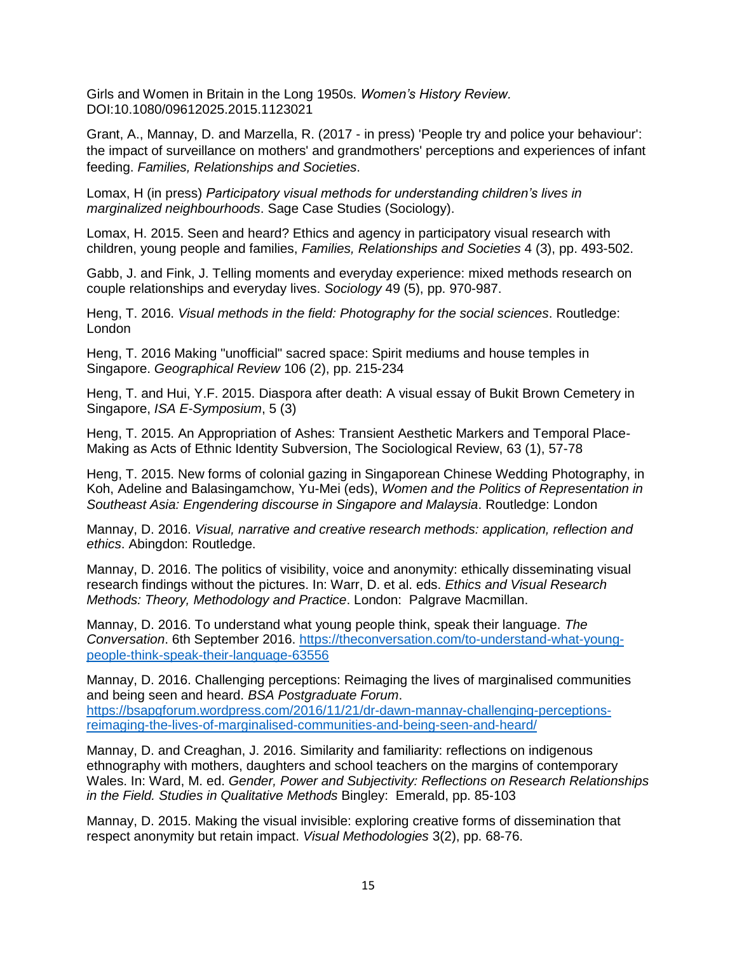Girls and Women in Britain in the Long 1950s. *Women's History Review.*  DOI:10.1080/09612025.2015.1123021

Grant, A., Mannay, D. and Marzella, R. (2017 - in press) 'People try and police your behaviour': the impact of surveillance on mothers' and grandmothers' perceptions and experiences of infant feeding. *Families, Relationships and Societies*.

Lomax, H (in press) *Participatory visual methods for understanding children's lives in marginalized neighbourhoods*. Sage Case Studies (Sociology).

Lomax, H. 2015. Seen and heard? Ethics and agency in participatory visual research with children, young people and families, *Families, Relationships and Societies* 4 (3), pp. 493-502.

Gabb, J. and Fink, J. [Telling moments and everyday experience: mixed methods research on](http://eprints.hud.ac.uk/24323)  [couple relationships and everyday lives.](http://eprints.hud.ac.uk/24323) *Sociology* 49 (5), pp. 970-987.

Heng, T. 2016. *Visual methods in the field: Photography for the social sciences*. Routledge: London

Heng, T. 2016 Making "unofficial" sacred space: Spirit mediums and house temples in Singapore. *Geographical Review* 106 (2), pp. 215-234

Heng, T. and Hui, Y.F. 2015. Diaspora after death: A visual essay of Bukit Brown Cemetery in Singapore, *ISA E-Symposium*, 5 (3)

Heng, T. 2015. An Appropriation of Ashes: Transient Aesthetic Markers and Temporal Place-Making as Acts of Ethnic Identity Subversion, The Sociological Review, 63 (1), 57-78

Heng, T. 2015. New forms of colonial gazing in Singaporean Chinese Wedding Photography, in Koh, Adeline and Balasingamchow, Yu-Mei (eds), *Women and the Politics of Representation in Southeast Asia: Engendering discourse in Singapore and Malaysia*. Routledge: London

Mannay, D. 2016. *Visual, narrative and creative research methods: application, reflection and ethics*. Abingdon: Routledge.

Mannay, D. 2016. The politics of visibility, voice and anonymity: ethically disseminating visual research findings without the pictures. In: Warr, D. et al. eds. *Ethics and Visual Research Methods: Theory, Methodology and Practice*. London: Palgrave Macmillan.

Mannay, D. 2016. To understand what young people think, speak their language. *The Conversation*. 6th September 2016. [https://theconversation.com/to-understand-what-young](https://theconversation.com/to-understand-what-young-people-think-speak-their-language-63556)[people-think-speak-their-language-63556](https://theconversation.com/to-understand-what-young-people-think-speak-their-language-63556)

Mannay, D. 2016. Challenging perceptions: Reimaging the lives of marginalised communities and being seen and heard. *BSA Postgraduate Forum*. [https://bsapgforum.wordpress.com/2016/11/21/dr-dawn-mannay-challenging-perceptions](https://bsapgforum.wordpress.com/2016/11/21/dr-dawn-mannay-challenging-perceptions-reimaging-the-lives-of-marginalised-communities-and-being-seen-and-heard/)[reimaging-the-lives-of-marginalised-communities-and-being-seen-and-heard/](https://bsapgforum.wordpress.com/2016/11/21/dr-dawn-mannay-challenging-perceptions-reimaging-the-lives-of-marginalised-communities-and-being-seen-and-heard/)

Mannay, D. and Creaghan, J. 2016. Similarity and familiarity: reflections on indigenous ethnography with mothers, daughters and school teachers on the margins of contemporary Wales. In: Ward, M. ed. *Gender, Power and Subjectivity: Reflections on Research Relationships in the Field. Studies in Qualitative Methods* Bingley: Emerald, pp. 85-103

Mannay, D. 2015. Making the visual invisible: exploring creative forms of dissemination that respect anonymity but retain impact. *Visual Methodologies* 3(2), pp. 68-76.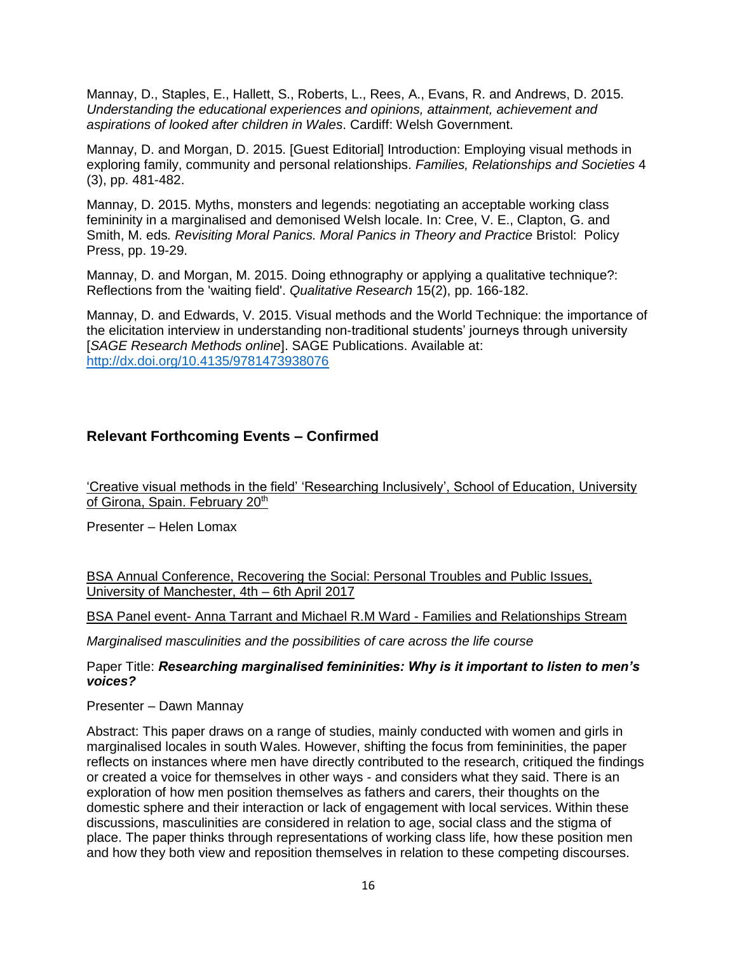Mannay, D., Staples, E., Hallett, S., Roberts, L., Rees, A., Evans, R. and Andrews, D. 2015. *Understanding the educational experiences and opinions, attainment, achievement and aspirations of looked after children in Wales*. Cardiff: Welsh Government.

Mannay, D. and Morgan, D. 2015. [Guest Editorial] Introduction: Employing visual methods in exploring family, community and personal relationships. *Families, Relationships and Societies* 4 (3), pp. 481-482.

Mannay, D. 2015. Myths, monsters and legends: negotiating an acceptable working class femininity in a marginalised and demonised Welsh locale. In: Cree, V. E., Clapton, G. and Smith, M. eds*. Revisiting Moral Panics. Moral Panics in Theory and Practice* Bristol: Policy Press, pp. 19-29.

Mannay, D. and Morgan, M. 2015. Doing ethnography or applying a qualitative technique?: Reflections from the 'waiting field'. *Qualitative Research* 15(2), pp. 166-182.

Mannay, D. and Edwards, V. 2015. Visual methods and the World Technique: the importance of the elicitation interview in understanding non-traditional students' journeys through university [*SAGE Research Methods online*]. SAGE Publications. Available at: <http://dx.doi.org/10.4135/9781473938076>

# **Relevant Forthcoming Events – Confirmed**

'Creative visual methods in the field' 'Researching Inclusively', School of Education, University of Girona, Spain. February 20<sup>th</sup>

Presenter – Helen Lomax

BSA Annual Conference, Recovering the Social: Personal Troubles and Public Issues, University of Manchester, 4th – 6th April 2017

BSA Panel event- Anna Tarrant and Michael R.M Ward - Families and Relationships Stream

*Marginalised masculinities and the possibilities of care across the life course*

Paper Title: *Researching marginalised femininities: Why is it important to listen to men's voices?*

Presenter – Dawn Mannay

Abstract: This paper draws on a range of studies, mainly conducted with women and girls in marginalised locales in south Wales. However, shifting the focus from femininities, the paper reflects on instances where men have directly contributed to the research, critiqued the findings or created a voice for themselves in other ways - and considers what they said. There is an exploration of how men position themselves as fathers and carers, their thoughts on the domestic sphere and their interaction or lack of engagement with local services. Within these discussions, masculinities are considered in relation to age, social class and the stigma of place. The paper thinks through representations of working class life, how these position men and how they both view and reposition themselves in relation to these competing discourses.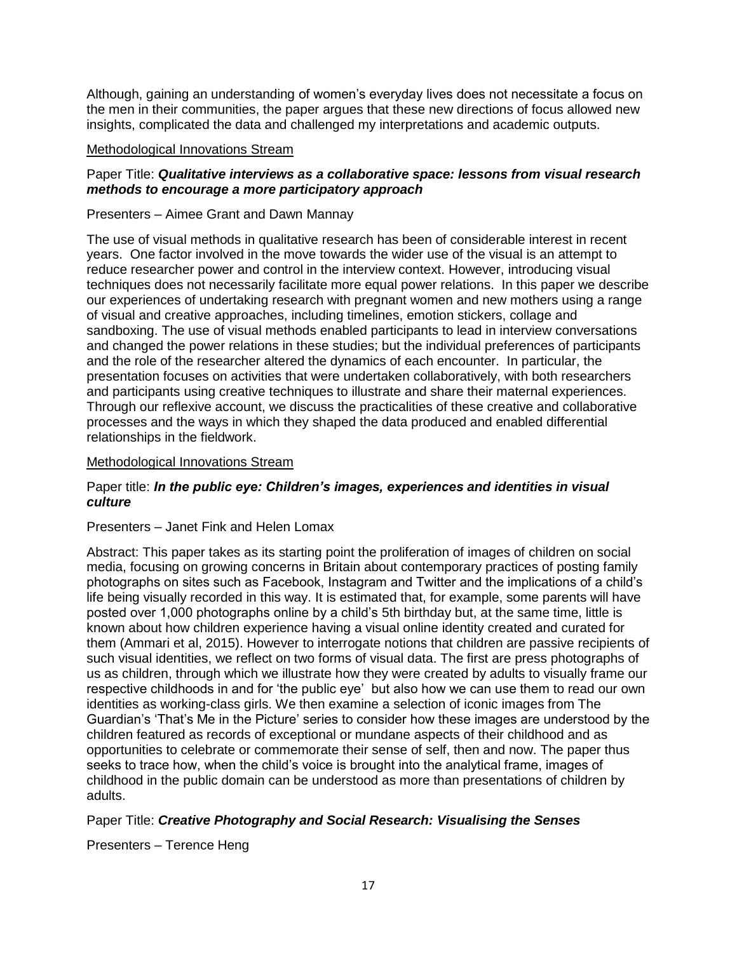Although, gaining an understanding of women's everyday lives does not necessitate a focus on the men in their communities, the paper argues that these new directions of focus allowed new insights, complicated the data and challenged my interpretations and academic outputs.

### Methodological Innovations Stream

# Paper Title: *Qualitative interviews as a collaborative space: lessons from visual research methods to encourage a more participatory approach*

### Presenters – Aimee Grant and Dawn Mannay

The use of visual methods in qualitative research has been of considerable interest in recent years. One factor involved in the move towards the wider use of the visual is an attempt to reduce researcher power and control in the interview context. However, introducing visual techniques does not necessarily facilitate more equal power relations. In this paper we describe our experiences of undertaking research with pregnant women and new mothers using a range of visual and creative approaches, including timelines, emotion stickers, collage and sandboxing. The use of visual methods enabled participants to lead in interview conversations and changed the power relations in these studies; but the individual preferences of participants and the role of the researcher altered the dynamics of each encounter. In particular, the presentation focuses on activities that were undertaken collaboratively, with both researchers and participants using creative techniques to illustrate and share their maternal experiences. Through our reflexive account, we discuss the practicalities of these creative and collaborative processes and the ways in which they shaped the data produced and enabled differential relationships in the fieldwork.

### Methodological Innovations Stream

# Paper title: *In the public eye: Children's images, experiences and identities in visual culture*

### Presenters – Janet Fink and Helen Lomax

Abstract: This paper takes as its starting point the proliferation of images of children on social media, focusing on growing concerns in Britain about contemporary practices of posting family photographs on sites such as Facebook, Instagram and Twitter and the implications of a child's life being visually recorded in this way. It is estimated that, for example, some parents will have posted over 1,000 photographs online by a child's 5th birthday but, at the same time, little is known about how children experience having a visual online identity created and curated for them (Ammari et al, 2015). However to interrogate notions that children are passive recipients of such visual identities, we reflect on two forms of visual data. The first are press photographs of us as children, through which we illustrate how they were created by adults to visually frame our respective childhoods in and for 'the public eye' but also how we can use them to read our own identities as working-class girls. We then examine a selection of iconic images from The Guardian's 'That's Me in the Picture' series to consider how these images are understood by the children featured as records of exceptional or mundane aspects of their childhood and as opportunities to celebrate or commemorate their sense of self, then and now. The paper thus seeks to trace how, when the child's voice is brought into the analytical frame, images of childhood in the public domain can be understood as more than presentations of children by adults.

Paper Title: *Creative Photography and Social Research: Visualising the Senses*

Presenters – Terence Heng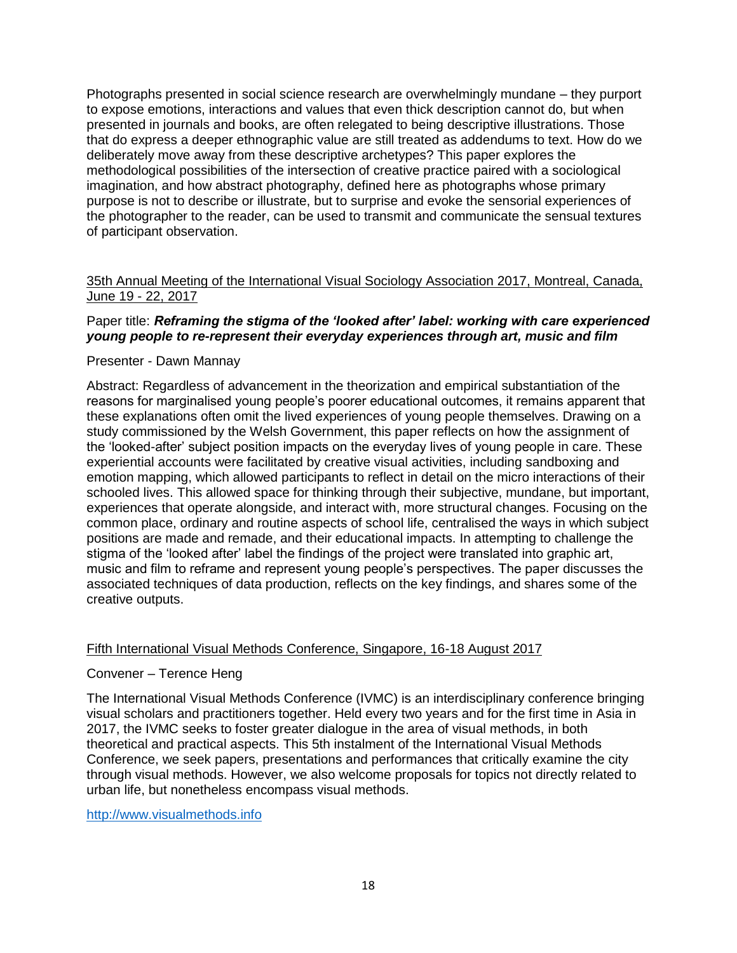Photographs presented in social science research are overwhelmingly mundane – they purport to expose emotions, interactions and values that even thick description cannot do, but when presented in journals and books, are often relegated to being descriptive illustrations. Those that do express a deeper ethnographic value are still treated as addendums to text. How do we deliberately move away from these descriptive archetypes? This paper explores the methodological possibilities of the intersection of creative practice paired with a sociological imagination, and how abstract photography, defined here as photographs whose primary purpose is not to describe or illustrate, but to surprise and evoke the sensorial experiences of the photographer to the reader, can be used to transmit and communicate the sensual textures of participant observation.

# 35th Annual Meeting of the International Visual Sociology Association 2017, Montreal, Canada, June 19 - 22, 2017

# Paper title: *Reframing the stigma of the 'looked after' label: working with care experienced young people to re-represent their everyday experiences through art, music and film*

# Presenter - Dawn Mannay

Abstract: Regardless of advancement in the theorization and empirical substantiation of the reasons for marginalised young people's poorer educational outcomes, it remains apparent that these explanations often omit the lived experiences of young people themselves. Drawing on a study commissioned by the Welsh Government, this paper reflects on how the assignment of the 'looked-after' subject position impacts on the everyday lives of young people in care. These experiential accounts were facilitated by creative visual activities, including sandboxing and emotion mapping, which allowed participants to reflect in detail on the micro interactions of their schooled lives. This allowed space for thinking through their subjective, mundane, but important, experiences that operate alongside, and interact with, more structural changes. Focusing on the common place, ordinary and routine aspects of school life, centralised the ways in which subject positions are made and remade, and their educational impacts. In attempting to challenge the stigma of the 'looked after' label the findings of the project were translated into graphic art, music and film to reframe and represent young people's perspectives. The paper discusses the associated techniques of data production, reflects on the key findings, and shares some of the creative outputs.

### Fifth International Visual Methods Conference, Singapore, 16-18 August 2017

### Convener – Terence Heng

The International Visual Methods Conference (IVMC) is an interdisciplinary conference bringing visual scholars and practitioners together. Held every two years and for the first time in Asia in 2017, the IVMC seeks to foster greater dialogue in the area of visual methods, in both theoretical and practical aspects. This 5th instalment of the International Visual Methods Conference, we seek papers, presentations and performances that critically examine the city through visual methods. However, we also welcome proposals for topics not directly related to urban life, but nonetheless encompass visual methods.

[http://www.visualmethods.info](http://www.visualmethods.info/)